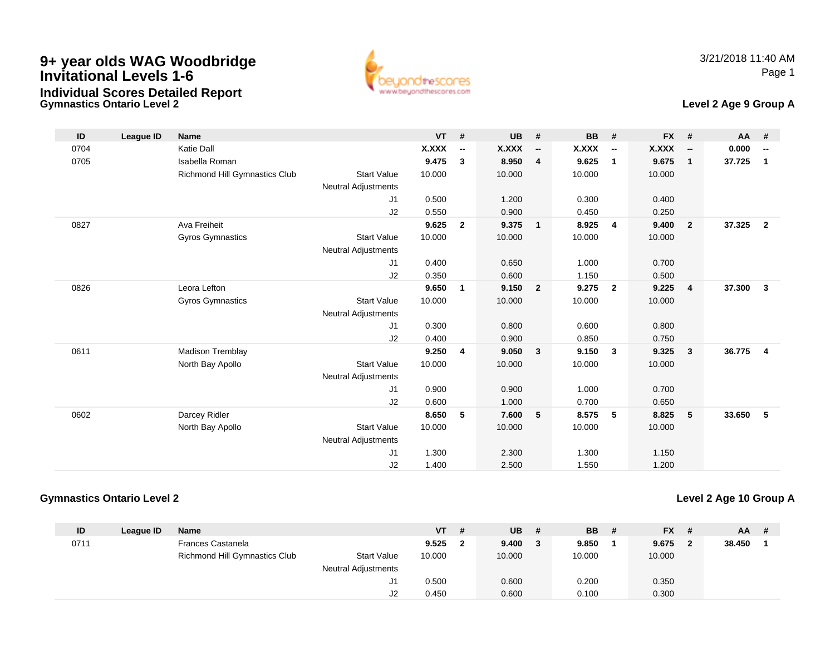

#### **Gymnastics Ontario Level 2Individual Scores Detailed Report**

### **Level 2 Age 9 Group A**

| ID   | League ID | <b>Name</b>                   |                            | $VT$ # |                          | <b>UB</b> | #                        | BB     | #                        | <b>FX</b> | #                        | AA #     |                          |
|------|-----------|-------------------------------|----------------------------|--------|--------------------------|-----------|--------------------------|--------|--------------------------|-----------|--------------------------|----------|--------------------------|
| 0704 |           | <b>Katie Dall</b>             |                            | X.XXX  | $\overline{\phantom{a}}$ | X.XXX     | $\overline{\phantom{a}}$ | X.XXX  | $\overline{\phantom{a}}$ | X.XXX     | $\overline{\phantom{a}}$ | 0.000    | $\overline{\phantom{a}}$ |
| 0705 |           | Isabella Roman                |                            | 9.475  | $\mathbf{3}$             | 8.950     | $\overline{4}$           | 9.625  | $\mathbf{1}$             | 9.675     | $\mathbf{1}$             | 37.725   | $\mathbf{1}$             |
|      |           | Richmond Hill Gymnastics Club | <b>Start Value</b>         | 10.000 |                          | 10.000    |                          | 10.000 |                          | 10.000    |                          |          |                          |
|      |           |                               | <b>Neutral Adjustments</b> |        |                          |           |                          |        |                          |           |                          |          |                          |
|      |           |                               | J1                         | 0.500  |                          | 1.200     |                          | 0.300  |                          | 0.400     |                          |          |                          |
|      |           |                               | J2                         | 0.550  |                          | 0.900     |                          | 0.450  |                          | 0.250     |                          |          |                          |
| 0827 |           | Ava Freiheit                  |                            | 9.625  | $\overline{2}$           | 9.375     | $\overline{\mathbf{1}}$  | 8.925  | $\overline{4}$           | 9.400     | $\overline{2}$           | 37.325   | $\overline{2}$           |
|      |           | Gyros Gymnastics              | <b>Start Value</b>         | 10.000 |                          | 10.000    |                          | 10.000 |                          | 10.000    |                          |          |                          |
|      |           |                               | <b>Neutral Adjustments</b> |        |                          |           |                          |        |                          |           |                          |          |                          |
|      |           |                               | J1                         | 0.400  |                          | 0.650     |                          | 1.000  |                          | 0.700     |                          |          |                          |
|      |           |                               | J2                         | 0.350  |                          | 0.600     |                          | 1.150  |                          | 0.500     |                          |          |                          |
| 0826 |           | Leora Lefton                  |                            | 9.650  | $\mathbf{1}$             | 9.150     | $\overline{\mathbf{2}}$  | 9.275  | $\overline{2}$           | 9.225     | 4                        | 37.300   | $\overline{\mathbf{3}}$  |
|      |           | <b>Gyros Gymnastics</b>       | <b>Start Value</b>         | 10.000 |                          | 10.000    |                          | 10.000 |                          | 10.000    |                          |          |                          |
|      |           |                               | <b>Neutral Adjustments</b> |        |                          |           |                          |        |                          |           |                          |          |                          |
|      |           |                               | J <sub>1</sub>             | 0.300  |                          | 0.800     |                          | 0.600  |                          | 0.800     |                          |          |                          |
|      |           |                               | J <sub>2</sub>             | 0.400  |                          | 0.900     |                          | 0.850  |                          | 0.750     |                          |          |                          |
| 0611 |           | <b>Madison Tremblay</b>       |                            | 9.250  | $\overline{4}$           | 9.050     | $\overline{\mathbf{3}}$  | 9.150  | 3                        | 9.325     | 3                        | 36.775 4 |                          |
|      |           | North Bay Apollo              | <b>Start Value</b>         | 10.000 |                          | 10.000    |                          | 10.000 |                          | 10.000    |                          |          |                          |
|      |           |                               | <b>Neutral Adjustments</b> |        |                          |           |                          |        |                          |           |                          |          |                          |
|      |           |                               | J <sub>1</sub>             | 0.900  |                          | 0.900     |                          | 1.000  |                          | 0.700     |                          |          |                          |
|      |           |                               | J2                         | 0.600  |                          | 1.000     |                          | 0.700  |                          | 0.650     |                          |          |                          |
| 0602 |           | Darcey Ridler                 |                            | 8.650  | 5                        | 7.600     | -5                       | 8.575  | -5                       | 8.825     | 5                        | 33.650   | 5                        |
|      |           | North Bay Apollo              | <b>Start Value</b>         | 10.000 |                          | 10.000    |                          | 10.000 |                          | 10.000    |                          |          |                          |
|      |           |                               | <b>Neutral Adjustments</b> |        |                          |           |                          |        |                          |           |                          |          |                          |
|      |           |                               | J1                         | 1.300  |                          | 2.300     |                          | 1.300  |                          | 1.150     |                          |          |                          |
|      |           |                               | J2                         | 1.400  |                          | 2.500     |                          | 1.550  |                          | 1.200     |                          |          |                          |

#### **Gymnastics Ontario Level 2**

#### **Level 2 Age 10 Group A**

| ID   | League ID | <b>Name</b>                   |                     | VT     | # | <b>UB</b> | # | <b>BB</b> | $FX$ #    | AA .   | - # |
|------|-----------|-------------------------------|---------------------|--------|---|-----------|---|-----------|-----------|--------|-----|
| 0711 |           | Frances Castanela             |                     | 9.525  |   | 9.400     | 3 | 9.850     | $9.675$ 2 | 38.450 |     |
|      |           | Richmond Hill Gymnastics Club | <b>Start Value</b>  | 10.000 |   | 10.000    |   | 10.000    | 10.000    |        |     |
|      |           |                               | Neutral Adjustments |        |   |           |   |           |           |        |     |
|      |           |                               | ا ل                 | 0.500  |   | 0.600     |   | 0.200     | 0.350     |        |     |
|      |           |                               |                     | 0.450  |   | 0.600     |   | 0.100     | 0.300     |        |     |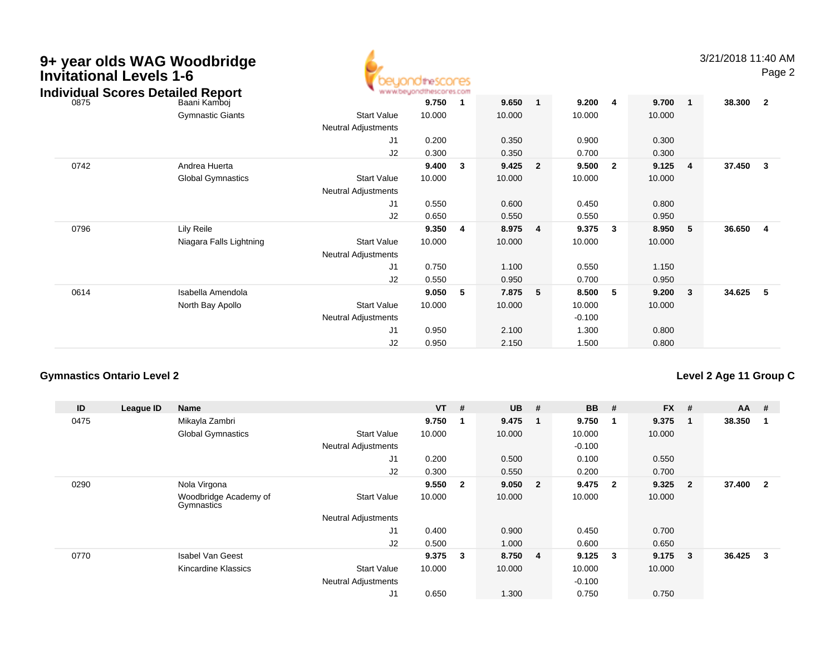| 9+ year olds WAG Woodbridge<br><b>Invitational Levels 1-6</b><br><b>Individual Scores Detailed Report</b> |                          |                            | <b>ICHTeSCOCES</b><br>www.beyondthescores.com |                         |        |                |          |                         |        |                | 3/21/2018 11:40 AM | Page 2                  |
|-----------------------------------------------------------------------------------------------------------|--------------------------|----------------------------|-----------------------------------------------|-------------------------|--------|----------------|----------|-------------------------|--------|----------------|--------------------|-------------------------|
| 0875                                                                                                      | Baani Kamboi             |                            | 9.750                                         | -1                      | 9.650  | $\mathbf{1}$   | 9.200    | $\overline{\mathbf{4}}$ | 9.700  | $\mathbf{1}$   | 38.300             | $\overline{\mathbf{2}}$ |
|                                                                                                           | <b>Gymnastic Giants</b>  | <b>Start Value</b>         | 10.000                                        |                         | 10.000 |                | 10.000   |                         | 10.000 |                |                    |                         |
|                                                                                                           |                          | Neutral Adjustments        |                                               |                         |        |                |          |                         |        |                |                    |                         |
|                                                                                                           |                          | J1                         | 0.200                                         |                         | 0.350  |                | 0.900    |                         | 0.300  |                |                    |                         |
|                                                                                                           |                          | J2                         | 0.300                                         |                         | 0.350  |                | 0.700    |                         | 0.300  |                |                    |                         |
| 0742                                                                                                      | Andrea Huerta            |                            | 9.400                                         | $\overline{\mathbf{3}}$ | 9.425  | $\overline{2}$ | 9.500    | $\overline{\mathbf{2}}$ | 9.125  | $\overline{4}$ | 37.450             | $\overline{\mathbf{3}}$ |
|                                                                                                           | <b>Global Gymnastics</b> | <b>Start Value</b>         | 10.000                                        |                         | 10.000 |                | 10.000   |                         | 10.000 |                |                    |                         |
|                                                                                                           |                          | Neutral Adjustments        |                                               |                         |        |                |          |                         |        |                |                    |                         |
|                                                                                                           |                          | J <sub>1</sub>             | 0.550                                         |                         | 0.600  |                | 0.450    |                         | 0.800  |                |                    |                         |
|                                                                                                           |                          | J2                         | 0.650                                         |                         | 0.550  |                | 0.550    |                         | 0.950  |                |                    |                         |
| 0796                                                                                                      | Lily Reile               |                            | 9.350                                         | $\overline{4}$          | 8.975  | $\overline{4}$ | 9.375    | 3                       | 8.950  | 5              | 36.650             | -4                      |
|                                                                                                           | Niagara Falls Lightning  | <b>Start Value</b>         | 10.000                                        |                         | 10.000 |                | 10.000   |                         | 10.000 |                |                    |                         |
|                                                                                                           |                          | <b>Neutral Adjustments</b> |                                               |                         |        |                |          |                         |        |                |                    |                         |
|                                                                                                           |                          | J1                         | 0.750                                         |                         | 1.100  |                | 0.550    |                         | 1.150  |                |                    |                         |
|                                                                                                           |                          | J <sub>2</sub>             | 0.550                                         |                         | 0.950  |                | 0.700    |                         | 0.950  |                |                    |                         |
| 0614                                                                                                      | Isabella Amendola        |                            | 9.050                                         | - 5                     | 7.875  | 5              | 8.500    | -5                      | 9.200  | 3              | 34.625             | - 5                     |
|                                                                                                           | North Bay Apollo         | <b>Start Value</b>         | 10.000                                        |                         | 10.000 |                | 10.000   |                         | 10.000 |                |                    |                         |
|                                                                                                           |                          | Neutral Adjustments        |                                               |                         |        |                | $-0.100$ |                         |        |                |                    |                         |
|                                                                                                           |                          | J <sub>1</sub>             | 0.950                                         |                         | 2.100  |                | 1.300    |                         | 0.800  |                |                    |                         |
|                                                                                                           |                          | J <sub>2</sub>             | 0.950                                         |                         | 2.150  |                | 1.500    |                         | 0.800  |                |                    |                         |

### **Gymnastics Ontario Level 2**

### **Level 2 Age 11 Group C**

| ID   | League ID | Name                                |                            | <b>VT</b> | #                       | <b>UB</b> | #                       | <b>BB</b> | #              | $FX$ # |                | AA     | #                       |
|------|-----------|-------------------------------------|----------------------------|-----------|-------------------------|-----------|-------------------------|-----------|----------------|--------|----------------|--------|-------------------------|
| 0475 |           | Mikayla Zambri                      |                            | 9.750     | $\overline{1}$          | 9.475     | $\mathbf 1$             | 9.750     |                | 9.375  |                | 38.350 |                         |
|      |           | <b>Global Gymnastics</b>            | <b>Start Value</b>         | 10.000    |                         | 10.000    |                         | 10.000    |                | 10.000 |                |        |                         |
|      |           |                                     | <b>Neutral Adjustments</b> |           |                         |           |                         | $-0.100$  |                |        |                |        |                         |
|      |           |                                     | J <sub>1</sub>             | 0.200     |                         | 0.500     |                         | 0.100     |                | 0.550  |                |        |                         |
|      |           |                                     | J2                         | 0.300     |                         | 0.550     |                         | 0.200     |                | 0.700  |                |        |                         |
| 0290 |           | Nola Virgona                        |                            | 9.550     | $\overline{\mathbf{2}}$ | 9.050     | $\overline{\mathbf{2}}$ | 9.475     | $\overline{2}$ | 9.325  | $\overline{2}$ | 37.400 | $\overline{\mathbf{2}}$ |
|      |           | Woodbridge Academy of<br>Gymnastics | <b>Start Value</b>         | 10.000    |                         | 10.000    |                         | 10.000    |                | 10.000 |                |        |                         |
|      |           |                                     | <b>Neutral Adjustments</b> |           |                         |           |                         |           |                |        |                |        |                         |
|      |           |                                     | J <sub>1</sub>             | 0.400     |                         | 0.900     |                         | 0.450     |                | 0.700  |                |        |                         |
|      |           |                                     | J2                         | 0.500     |                         | 1.000     |                         | 0.600     |                | 0.650  |                |        |                         |
| 0770 |           | <b>Isabel Van Geest</b>             |                            | 9.375     | $\overline{\mathbf{3}}$ | 8.750     | -4                      | 9.125     | 3              | 9.175  | 3              | 36.425 | 3                       |
|      |           | Kincardine Klassics                 | <b>Start Value</b>         | 10.000    |                         | 10.000    |                         | 10.000    |                | 10.000 |                |        |                         |
|      |           |                                     | <b>Neutral Adjustments</b> |           |                         |           |                         | $-0.100$  |                |        |                |        |                         |
|      |           |                                     | J1                         | 0.650     |                         | 1.300     |                         | 0.750     |                | 0.750  |                |        |                         |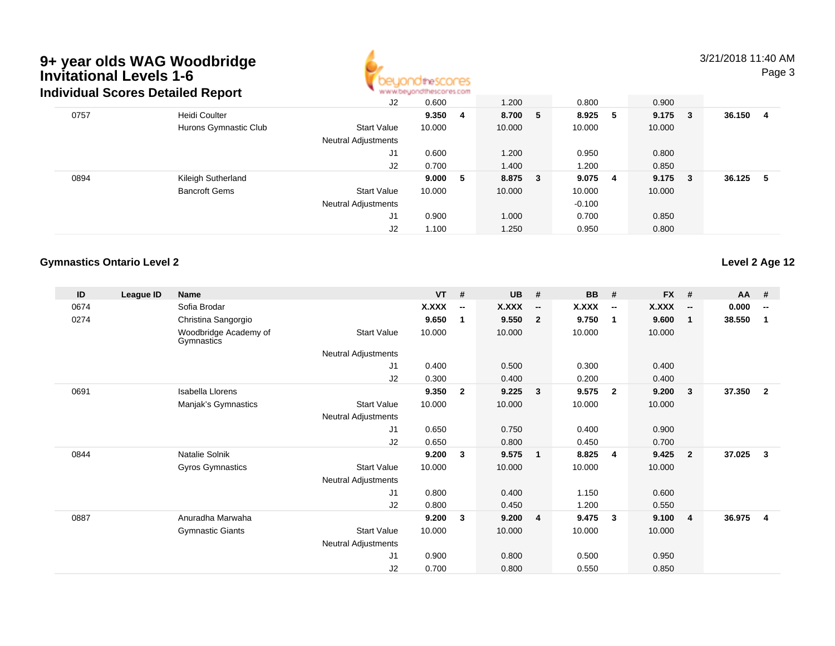

### 3/21/2018 11:40 AMPage 3

|      | Individual Scores Detailed Report |                            | www.beyondthescores.com |     |        |    |          |   |           |        |    |
|------|-----------------------------------|----------------------------|-------------------------|-----|--------|----|----------|---|-----------|--------|----|
|      |                                   | J2                         | 0.600                   |     | 1.200  |    | 0.800    |   | 0.900     |        |    |
| 0757 | Heidi Coulter                     |                            | 9.350                   | - 4 | 8.700  | -5 | 8.925    | 5 | $9.175$ 3 | 36.150 | -4 |
|      | Hurons Gymnastic Club             | <b>Start Value</b>         | 10.000                  |     | 10.000 |    | 10.000   |   | 10.000    |        |    |
|      |                                   | Neutral Adjustments        |                         |     |        |    |          |   |           |        |    |
|      |                                   | J1                         | 0.600                   |     | 1.200  |    | 0.950    |   | 0.800     |        |    |
|      |                                   | J2                         | 0.700                   |     | 1.400  |    | 1.200    |   | 0.850     |        |    |
| 0894 | Kileigh Sutherland                |                            | 9.000                   | - 5 | 8.875  | 3  | 9.075 4  |   | $9.175$ 3 | 36.125 | -5 |
|      | <b>Bancroft Gems</b>              | <b>Start Value</b>         | 10.000                  |     | 10.000 |    | 10.000   |   | 10.000    |        |    |
|      |                                   | <b>Neutral Adjustments</b> |                         |     |        |    | $-0.100$ |   |           |        |    |
|      |                                   | J1                         | 0.900                   |     | 1.000  |    | 0.700    |   | 0.850     |        |    |
|      |                                   | J2                         | 1.100                   |     | 1.250  |    | 0.950    |   | 0.800     |        |    |

### **Gymnastics Ontario Level 2**

**Level 2 Age 12**

| ID   | League ID | <b>Name</b>                         |                            | <b>VT</b> | #                        | <b>UB</b> | #                        | <b>BB</b>    | #                        | <b>FX</b>    | #                        | <b>AA</b> | #                        |
|------|-----------|-------------------------------------|----------------------------|-----------|--------------------------|-----------|--------------------------|--------------|--------------------------|--------------|--------------------------|-----------|--------------------------|
| 0674 |           | Sofia Brodar                        |                            | X.XXX     | $\overline{\phantom{a}}$ | X.XXX     | $\overline{\phantom{a}}$ | <b>X.XXX</b> | $\overline{\phantom{a}}$ | <b>X.XXX</b> | $\overline{\phantom{a}}$ | 0.000     | $\overline{\phantom{a}}$ |
| 0274 |           | Christina Sangorgio                 |                            | 9.650     | 1                        | 9.550     | $\overline{\mathbf{2}}$  | 9.750        | $\mathbf 1$              | 9.600        | $\mathbf{1}$             | 38.550    | 1                        |
|      |           | Woodbridge Academy of<br>Gymnastics | <b>Start Value</b>         | 10.000    |                          | 10.000    |                          | 10.000       |                          | 10.000       |                          |           |                          |
|      |           |                                     | Neutral Adjustments        |           |                          |           |                          |              |                          |              |                          |           |                          |
|      |           |                                     | J1                         | 0.400     |                          | 0.500     |                          | 0.300        |                          | 0.400        |                          |           |                          |
|      |           |                                     | J2                         | 0.300     |                          | 0.400     |                          | 0.200        |                          | 0.400        |                          |           |                          |
| 0691 |           | <b>Isabella Llorens</b>             |                            | 9.350     | $\overline{2}$           | 9.225     | $\overline{\mathbf{3}}$  | 9.575        | $\overline{2}$           | 9.200        | 3                        | 37.350    | $\overline{2}$           |
|      |           | Manjak's Gymnastics                 | <b>Start Value</b>         | 10.000    |                          | 10.000    |                          | 10.000       |                          | 10.000       |                          |           |                          |
|      |           |                                     | Neutral Adjustments        |           |                          |           |                          |              |                          |              |                          |           |                          |
|      |           |                                     | J <sub>1</sub>             | 0.650     |                          | 0.750     |                          | 0.400        |                          | 0.900        |                          |           |                          |
|      |           |                                     | J2                         | 0.650     |                          | 0.800     |                          | 0.450        |                          | 0.700        |                          |           |                          |
| 0844 |           | Natalie Solnik                      |                            | 9.200     | 3                        | 9.575     | $\blacksquare$           | 8.825        | $\overline{4}$           | 9.425        | $\overline{2}$           | 37.025    | 3                        |
|      |           | <b>Gyros Gymnastics</b>             | <b>Start Value</b>         | 10.000    |                          | 10.000    |                          | 10.000       |                          | 10.000       |                          |           |                          |
|      |           |                                     | <b>Neutral Adjustments</b> |           |                          |           |                          |              |                          |              |                          |           |                          |
|      |           |                                     | J1                         | 0.800     |                          | 0.400     |                          | 1.150        |                          | 0.600        |                          |           |                          |
|      |           |                                     | J2                         | 0.800     |                          | 0.450     |                          | 1.200        |                          | 0.550        |                          |           |                          |
| 0887 |           | Anuradha Marwaha                    |                            | 9.200     | 3                        | 9.200     | $\overline{4}$           | 9.475        | $\mathbf{3}$             | 9.100        | $\overline{4}$           | 36.975    | 4                        |
|      |           | <b>Gymnastic Giants</b>             | <b>Start Value</b>         | 10.000    |                          | 10.000    |                          | 10.000       |                          | 10.000       |                          |           |                          |
|      |           |                                     | <b>Neutral Adjustments</b> |           |                          |           |                          |              |                          |              |                          |           |                          |
|      |           |                                     | J1                         | 0.900     |                          | 0.800     |                          | 0.500        |                          | 0.950        |                          |           |                          |
|      |           |                                     | J <sub>2</sub>             | 0.700     |                          | 0.800     |                          | 0.550        |                          | 0.850        |                          |           |                          |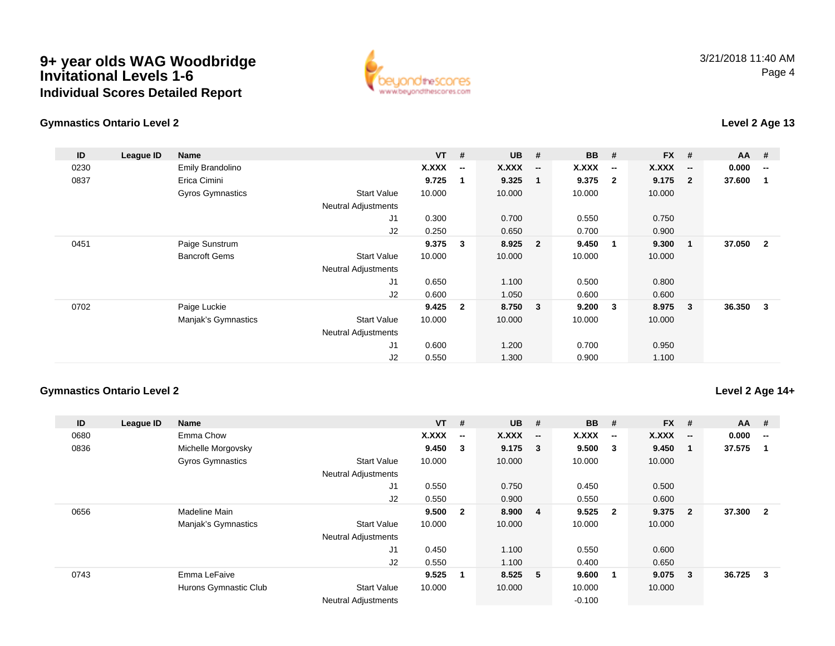### **9+ year olds WAG Woodbridge Invitational Levels 1-6Individual Scores Detailed Report**



### **Gymnastics Ontario Level 2**

### **Level 2 Age 13**

| ID   | League ID | Name                    |                            | $VT$ # |                          | <b>UB</b> | #                        | BB           | #                        | <b>FX</b> | #            | $AA$ # |                          |
|------|-----------|-------------------------|----------------------------|--------|--------------------------|-----------|--------------------------|--------------|--------------------------|-----------|--------------|--------|--------------------------|
| 0230 |           | Emily Brandolino        |                            | X.XXX  | $\overline{\phantom{a}}$ | X.XXX     | $\overline{\phantom{a}}$ | <b>X.XXX</b> | $\overline{\phantom{a}}$ | X.XXX     | --           | 0.000  | $\overline{\phantom{a}}$ |
| 0837 |           | Erica Cimini            |                            | 9.725  | -1                       | 9.325     | $\mathbf 1$              | 9.375        | $\mathbf{2}$             | 9.175     | $\mathbf{2}$ | 37.600 |                          |
|      |           | <b>Gyros Gymnastics</b> | <b>Start Value</b>         | 10.000 |                          | 10.000    |                          | 10.000       |                          | 10.000    |              |        |                          |
|      |           |                         | <b>Neutral Adjustments</b> |        |                          |           |                          |              |                          |           |              |        |                          |
|      |           |                         | J1                         | 0.300  |                          | 0.700     |                          | 0.550        |                          | 0.750     |              |        |                          |
|      |           |                         | J2                         | 0.250  |                          | 0.650     |                          | 0.700        |                          | 0.900     |              |        |                          |
| 0451 |           | Paige Sunstrum          |                            | 9.375  | $\overline{\mathbf{3}}$  | 8.925     | $\overline{\mathbf{2}}$  | 9.450        | $\overline{1}$           | 9.300     | 1            | 37.050 | $\overline{2}$           |
|      |           | <b>Bancroft Gems</b>    | <b>Start Value</b>         | 10.000 |                          | 10.000    |                          | 10.000       |                          | 10.000    |              |        |                          |
|      |           |                         | <b>Neutral Adjustments</b> |        |                          |           |                          |              |                          |           |              |        |                          |
|      |           |                         | J1                         | 0.650  |                          | 1.100     |                          | 0.500        |                          | 0.800     |              |        |                          |
|      |           |                         | J2                         | 0.600  |                          | 1.050     |                          | 0.600        |                          | 0.600     |              |        |                          |
| 0702 |           | Paige Luckie            |                            | 9.425  | $\overline{2}$           | 8.750     | $\overline{\mathbf{3}}$  | 9.200        | -3                       | 8.975     | $\mathbf{3}$ | 36.350 | 3                        |
|      |           | Manjak's Gymnastics     | <b>Start Value</b>         | 10.000 |                          | 10.000    |                          | 10.000       |                          | 10.000    |              |        |                          |
|      |           |                         | <b>Neutral Adjustments</b> |        |                          |           |                          |              |                          |           |              |        |                          |
|      |           |                         | J1                         | 0.600  |                          | 1.200     |                          | 0.700        |                          | 0.950     |              |        |                          |
|      |           |                         | J2                         | 0.550  |                          | 1.300     |                          | 0.900        |                          | 1.100     |              |        |                          |

#### **Gymnastics Ontario Level 2**

### **Level 2 Age 14+**

| ID   | League ID | <b>Name</b>             |                            | $VT$ #       |                          | <b>UB</b> | #                        | <b>BB</b> | #                       | <b>FX</b> | #                        | AA     | #                        |
|------|-----------|-------------------------|----------------------------|--------------|--------------------------|-----------|--------------------------|-----------|-------------------------|-----------|--------------------------|--------|--------------------------|
| 0680 |           | Emma Chow               |                            | <b>X.XXX</b> | $\overline{\phantom{a}}$ | X.XXX     | $\overline{\phantom{a}}$ | X.XXX     | $\sim$                  | X.XXX     | $\overline{\phantom{a}}$ | 0.000  | $\overline{\phantom{a}}$ |
| 0836 |           | Michelle Morgovsky      |                            | 9.450        | $\mathbf{3}$             | $9.175$ 3 |                          | 9.500     | $\overline{\mathbf{3}}$ | 9.450     | -1                       | 37.575 |                          |
|      |           | <b>Gyros Gymnastics</b> | <b>Start Value</b>         | 10.000       |                          | 10.000    |                          | 10.000    |                         | 10.000    |                          |        |                          |
|      |           |                         | <b>Neutral Adjustments</b> |              |                          |           |                          |           |                         |           |                          |        |                          |
|      |           |                         | J1                         | 0.550        |                          | 0.750     |                          | 0.450     |                         | 0.500     |                          |        |                          |
|      |           |                         | J2                         | 0.550        |                          | 0.900     |                          | 0.550     |                         | 0.600     |                          |        |                          |
| 0656 |           | Madeline Main           |                            | 9.500        | $\mathbf{2}$             | 8.900     | 4                        | 9.525     | $\overline{\mathbf{2}}$ | 9.375     | $\overline{\mathbf{2}}$  | 37.300 | $\overline{2}$           |
|      |           | Manjak's Gymnastics     | <b>Start Value</b>         | 10.000       |                          | 10.000    |                          | 10.000    |                         | 10.000    |                          |        |                          |
|      |           |                         | <b>Neutral Adjustments</b> |              |                          |           |                          |           |                         |           |                          |        |                          |
|      |           |                         | J1                         | 0.450        |                          | 1.100     |                          | 0.550     |                         | 0.600     |                          |        |                          |
|      |           |                         | J2                         | 0.550        |                          | 1.100     |                          | 0.400     |                         | 0.650     |                          |        |                          |
| 0743 |           | Emma LeFaive            |                            | 9.525        | $\mathbf 1$              | 8.525 5   |                          | 9.600     | $\overline{\mathbf{1}}$ | 9.075     | -3                       | 36.725 | 3                        |
|      |           | Hurons Gymnastic Club   | <b>Start Value</b>         | 10.000       |                          | 10.000    |                          | 10.000    |                         | 10.000    |                          |        |                          |
|      |           |                         | <b>Neutral Adjustments</b> |              |                          |           |                          | $-0.100$  |                         |           |                          |        |                          |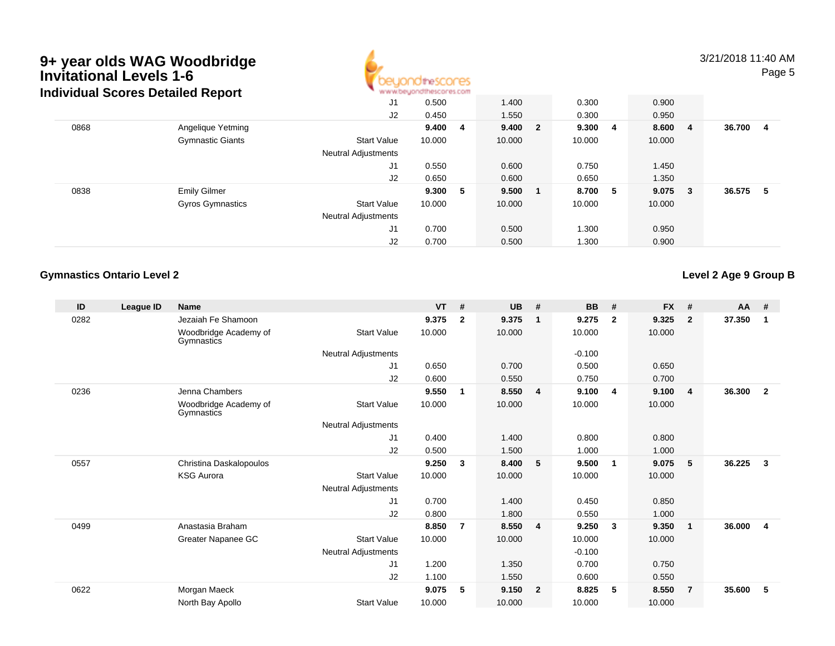

3/21/2018 11:40 AMPage 5

|      | Individual Scores Detailed Report |                            | www.beyondthescores.com |      |        |                |         |           |        |    |
|------|-----------------------------------|----------------------------|-------------------------|------|--------|----------------|---------|-----------|--------|----|
|      |                                   | J1                         | 0.500                   |      | 1.400  |                | 0.300   | 0.900     |        |    |
|      |                                   | J2                         | 0.450                   |      | 1.550  |                | 0.300   | 0.950     |        |    |
| 0868 | Angelique Yetming                 |                            | 9.400                   | - 4  | 9.400  | $\overline{2}$ | 9.300 4 | 8.600 4   | 36.700 | -4 |
|      | <b>Gymnastic Giants</b>           | <b>Start Value</b>         | 10.000                  |      | 10.000 |                | 10.000  | 10.000    |        |    |
|      |                                   | <b>Neutral Adjustments</b> |                         |      |        |                |         |           |        |    |
|      |                                   | J <sub>1</sub>             | 0.550                   |      | 0.600  |                | 0.750   | 1.450     |        |    |
|      |                                   | J2                         | 0.650                   |      | 0.600  |                | 0.650   | 1.350     |        |    |
| 0838 | <b>Emily Gilmer</b>               |                            | 9.300                   | $-5$ | 9.500  |                | 8.700 5 | $9.075$ 3 | 36.575 | -5 |
|      | <b>Gyros Gymnastics</b>           | <b>Start Value</b>         | 10.000                  |      | 10.000 |                | 10.000  | 10.000    |        |    |
|      |                                   | <b>Neutral Adjustments</b> |                         |      |        |                |         |           |        |    |
|      |                                   | J1                         | 0.700                   |      | 0.500  |                | 1.300   | 0.950     |        |    |
|      |                                   | J2                         | 0.700                   |      | 0.500  |                | 1.300   | 0.900     |        |    |

### **Gymnastics Ontario Level 2**

**Level 2 Age 9 Group B**

| ID   | League ID | Name                                |                     | <b>VT</b> | #              | <b>UB</b> | #              | <b>BB</b> | #              | <b>FX</b> | #              | $AA$ # |                |
|------|-----------|-------------------------------------|---------------------|-----------|----------------|-----------|----------------|-----------|----------------|-----------|----------------|--------|----------------|
| 0282 |           | Jezaiah Fe Shamoon                  |                     | 9.375     | $\mathbf{2}$   | 9.375     | -1             | 9.275     | $\mathbf{2}$   | 9.325     | $\mathbf{2}$   | 37.350 | 1              |
|      |           | Woodbridge Academy of<br>Gymnastics | <b>Start Value</b>  | 10.000    |                | 10.000    |                | 10.000    |                | 10.000    |                |        |                |
|      |           |                                     | Neutral Adjustments |           |                |           |                | $-0.100$  |                |           |                |        |                |
|      |           |                                     | J1                  | 0.650     |                | 0.700     |                | 0.500     |                | 0.650     |                |        |                |
|      |           |                                     | J2                  | 0.600     |                | 0.550     |                | 0.750     |                | 0.700     |                |        |                |
| 0236 |           | Jenna Chambers                      |                     | 9.550     | 1              | 8.550     | $\overline{4}$ | 9.100     | $\overline{4}$ | 9.100     | $\overline{4}$ | 36.300 | $\overline{2}$ |
|      |           | Woodbridge Academy of<br>Gymnastics | <b>Start Value</b>  | 10.000    |                | 10.000    |                | 10.000    |                | 10.000    |                |        |                |
|      |           |                                     | Neutral Adjustments |           |                |           |                |           |                |           |                |        |                |
|      |           |                                     | J1                  | 0.400     |                | 1.400     |                | 0.800     |                | 0.800     |                |        |                |
|      |           |                                     | J <sub>2</sub>      | 0.500     |                | 1.500     |                | 1.000     |                | 1.000     |                |        |                |
| 0557 |           | Christina Daskalopoulos             |                     | 9.250     | 3              | 8.400     | 5 <sub>5</sub> | 9.500     | -1             | 9.075     | 5              | 36.225 | $\mathbf{3}$   |
|      |           | <b>KSG Aurora</b>                   | <b>Start Value</b>  | 10.000    |                | 10.000    |                | 10.000    |                | 10.000    |                |        |                |
|      |           |                                     | Neutral Adjustments |           |                |           |                |           |                |           |                |        |                |
|      |           |                                     | J1                  | 0.700     |                | 1.400     |                | 0.450     |                | 0.850     |                |        |                |
|      |           |                                     | J2                  | 0.800     |                | 1.800     |                | 0.550     |                | 1.000     |                |        |                |
| 0499 |           | Anastasia Braham                    |                     | 8.850     | $\overline{7}$ | 8.550     | $\overline{4}$ | 9.250     | $\mathbf{3}$   | 9.350     | $\mathbf{1}$   | 36.000 | $\overline{4}$ |
|      |           | Greater Napanee GC                  | <b>Start Value</b>  | 10.000    |                | 10.000    |                | 10.000    |                | 10.000    |                |        |                |
|      |           |                                     | Neutral Adjustments |           |                |           |                | $-0.100$  |                |           |                |        |                |
|      |           |                                     | J <sub>1</sub>      | 1.200     |                | 1.350     |                | 0.700     |                | 0.750     |                |        |                |
|      |           |                                     | J <sub>2</sub>      | 1.100     |                | 1.550     |                | 0.600     |                | 0.550     |                |        |                |
| 0622 |           | Morgan Maeck                        |                     | 9.075     | 5              | 9.150     | $\overline{2}$ | 8.825     | 5              | 8.550     | $\overline{7}$ | 35.600 | 5              |
|      |           | North Bay Apollo                    | <b>Start Value</b>  | 10.000    |                | 10.000    |                | 10.000    |                | 10.000    |                |        |                |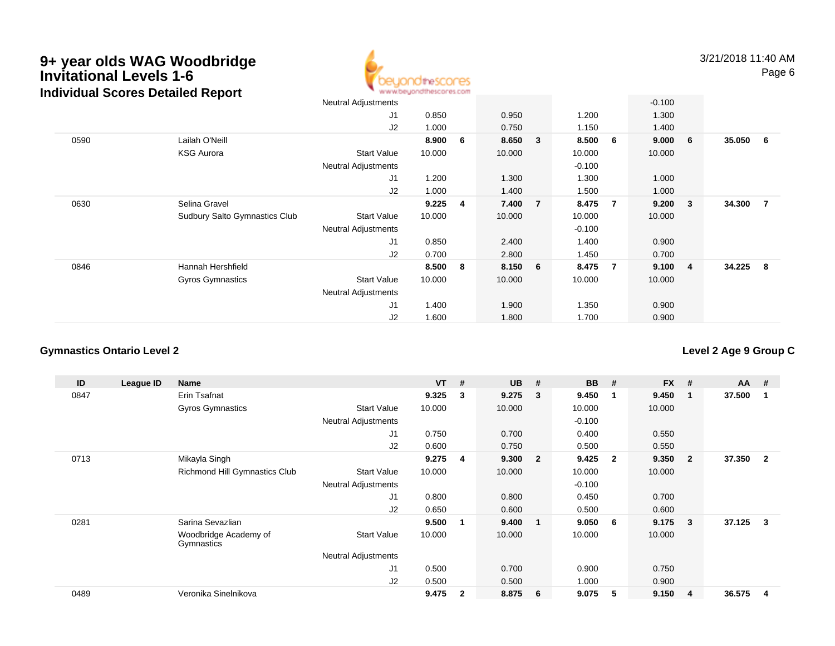### **9+ year olds WAG Woodbridge Invitational Levels 1-6Individual Scores Detailed Report**



3/21/2018 11:40 AMPage 6

|      |                               | <b>Neutral Adjustments</b> |        |                |         |                |          |                | $-0.100$ |                         |        |                |
|------|-------------------------------|----------------------------|--------|----------------|---------|----------------|----------|----------------|----------|-------------------------|--------|----------------|
|      |                               | J <sub>1</sub>             | 0.850  |                | 0.950   |                | 1.200    |                | 1.300    |                         |        |                |
|      |                               | J2                         | 1.000  |                | 0.750   |                | 1.150    |                | 1.400    |                         |        |                |
| 0590 | Lailah O'Neill                |                            | 8.900  | 6              | 8.650   | 3 <sup>2</sup> | 8.500    | 6              | 9.000    | - 6                     | 35.050 | 6              |
|      | <b>KSG Aurora</b>             | <b>Start Value</b>         | 10.000 |                | 10.000  |                | 10.000   |                | 10.000   |                         |        |                |
|      |                               | <b>Neutral Adjustments</b> |        |                |         |                | $-0.100$ |                |          |                         |        |                |
|      |                               | J <sub>1</sub>             | 1.200  |                | 1.300   |                | 1.300    |                | 1.000    |                         |        |                |
|      |                               | J2                         | 1.000  |                | 1.400   |                | 1.500    |                | 1.000    |                         |        |                |
| 0630 | Selina Gravel                 |                            | 9.225  | $\overline{4}$ | 7.400   | $\overline{7}$ | 8.475    | $\overline{7}$ | 9.200    | $\overline{\mathbf{3}}$ | 34.300 | $\overline{7}$ |
|      | Sudbury Salto Gymnastics Club | <b>Start Value</b>         | 10.000 |                | 10.000  |                | 10.000   |                | 10.000   |                         |        |                |
|      |                               | <b>Neutral Adjustments</b> |        |                |         |                | $-0.100$ |                |          |                         |        |                |
|      |                               | J <sub>1</sub>             | 0.850  |                | 2.400   |                | 1.400    |                | 0.900    |                         |        |                |
|      |                               | J2                         | 0.700  |                | 2.800   |                | 1.450    |                | 0.700    |                         |        |                |
| 0846 | Hannah Hershfield             |                            | 8.500  | 8              | 8.150 6 |                | 8.475    | $\overline{7}$ | 9.100    | $\overline{4}$          | 34.225 | - 8            |
|      | <b>Gyros Gymnastics</b>       | <b>Start Value</b>         | 10.000 |                | 10.000  |                | 10.000   |                | 10.000   |                         |        |                |
|      |                               | <b>Neutral Adjustments</b> |        |                |         |                |          |                |          |                         |        |                |
|      |                               | J <sub>1</sub>             | 1.400  |                | 1.900   |                | 1.350    |                | 0.900    |                         |        |                |
|      |                               | J2                         | 1.600  |                | 1.800   |                | 1.700    |                | 0.900    |                         |        |                |

### **Gymnastics Ontario Level 2**

**Level 2 Age 9 Group C**

| ID   | League ID | <b>Name</b>                         |                            | <b>VT</b> | #                       | <b>UB</b> | #                       | <b>BB</b> | #              | <b>FX</b> | #              | $AA$ # |                |
|------|-----------|-------------------------------------|----------------------------|-----------|-------------------------|-----------|-------------------------|-----------|----------------|-----------|----------------|--------|----------------|
| 0847 |           | Erin Tsafnat                        |                            | 9.325     | 3                       | 9.275     | -3                      | 9.450     | 1              | 9.450     | 1              | 37.500 |                |
|      |           | Gyros Gymnastics                    | <b>Start Value</b>         | 10.000    |                         | 10.000    |                         | 10.000    |                | 10.000    |                |        |                |
|      |           |                                     | <b>Neutral Adjustments</b> |           |                         |           |                         | $-0.100$  |                |           |                |        |                |
|      |           |                                     | J1                         | 0.750     |                         | 0.700     |                         | 0.400     |                | 0.550     |                |        |                |
|      |           |                                     | J2                         | 0.600     |                         | 0.750     |                         | 0.500     |                | 0.550     |                |        |                |
| 0713 |           | Mikayla Singh                       |                            | 9.275     | $\overline{\mathbf{4}}$ | 9.300     | $\overline{\mathbf{2}}$ | 9.425     | $\overline{2}$ | 9.350     | $\overline{2}$ | 37.350 | $\overline{2}$ |
|      |           | Richmond Hill Gymnastics Club       | <b>Start Value</b>         | 10.000    |                         | 10.000    |                         | 10.000    |                | 10.000    |                |        |                |
|      |           |                                     | <b>Neutral Adjustments</b> |           |                         |           |                         | $-0.100$  |                |           |                |        |                |
|      |           |                                     | J1                         | 0.800     |                         | 0.800     |                         | 0.450     |                | 0.700     |                |        |                |
|      |           |                                     | J2                         | 0.650     |                         | 0.600     |                         | 0.500     |                | 0.600     |                |        |                |
| 0281 |           | Sarina Sevazlian                    |                            | 9.500     |                         | 9.400     | $\overline{1}$          | 9.050     | 6              | 9.175     | 3              | 37.125 | 3              |
|      |           | Woodbridge Academy of<br>Gymnastics | Start Value                | 10.000    |                         | 10.000    |                         | 10.000    |                | 10.000    |                |        |                |
|      |           |                                     | Neutral Adjustments        |           |                         |           |                         |           |                |           |                |        |                |
|      |           |                                     | J1                         | 0.500     |                         | 0.700     |                         | 0.900     |                | 0.750     |                |        |                |
|      |           |                                     | J2                         | 0.500     |                         | 0.500     |                         | 1.000     |                | 0.900     |                |        |                |
| 0489 |           | Veronika Sinelnikova                |                            | 9.475     | $\mathbf{2}$            | 8.875     | - 6                     | 9.075     | 5              | 9.150     | 4              | 36.575 | 4              |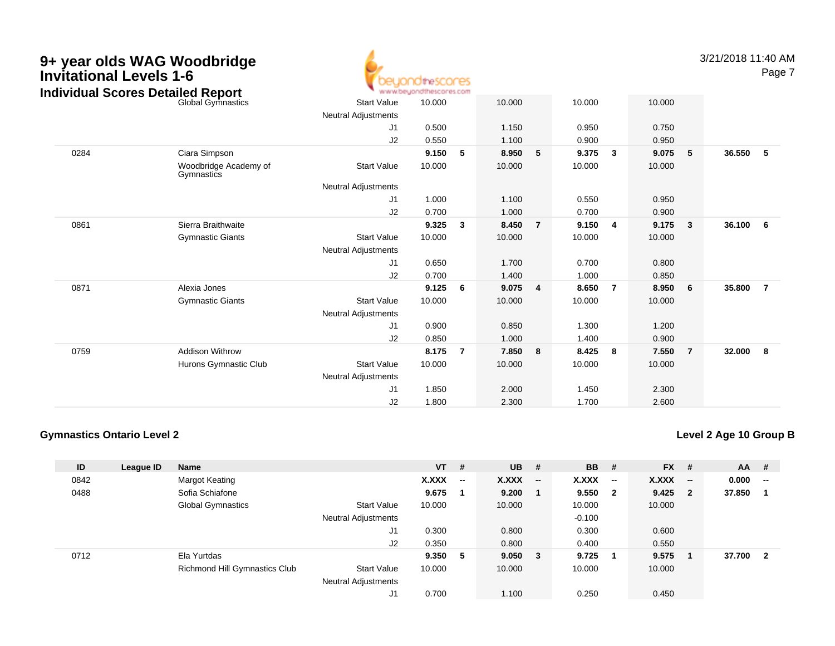

3/21/2018 11:40 AMPage 7

| <b>Global Gymnastics</b><br><b>Start Value</b><br>10.000<br>10.000<br>10.000<br>10.000<br>Neutral Adjustments<br>1.150<br>0.950<br>0.750<br>J1<br>0.500<br>J2<br>1.100<br>0.550<br>0.950<br>0.900<br>36.550<br>0284<br>Ciara Simpson<br>9.150<br>5<br>8.950<br>5<br>9.375<br>9.075<br>5<br>- 5<br>3<br>Woodbridge Academy of<br>10.000<br><b>Start Value</b><br>10.000<br>10.000<br>10.000<br>Gymnastics<br>Neutral Adjustments<br>J <sub>1</sub><br>1.000<br>1.100<br>0.550<br>0.950<br>J2<br>0.700<br>1.000<br>0.700<br>0.900<br>0861<br>9.325<br>8.450<br>9.150<br>9.175<br>Sierra Braithwaite<br>$\mathbf{3}$<br>$\overline{7}$<br>$\mathbf{3}$<br>36.100<br>$6\overline{6}$<br>4<br><b>Start Value</b><br>10.000<br>10.000<br><b>Gymnastic Giants</b><br>10.000<br>10.000<br>Neutral Adjustments<br>1.700<br>0.700<br>0.800<br>J1<br>0.650<br>0.700<br>1.400<br>1.000<br>J2<br>0.850<br>0871<br>Alexia Jones<br>9.125<br>9.075<br>8.650<br>8.950<br>35.800<br>$\overline{7}$<br>- 6<br>$\overline{4}$<br>$\overline{7}$<br>6<br><b>Gymnastic Giants</b><br><b>Start Value</b><br>10.000<br>10.000<br>10.000<br>10.000<br>Neutral Adjustments<br>1.300<br>J1<br>0.900<br>0.850<br>1.200<br>1.000<br>1.400<br>J <sub>2</sub><br>0.850<br>0.900<br>0759<br><b>Addison Withrow</b><br>8.175<br>7.850<br>8.425<br>7.550<br>32.000<br>$_{\rm 8}$<br>-7<br>8<br>8<br>$\overline{7}$<br><b>Start Value</b><br>Hurons Gymnastic Club<br>10.000<br>10.000<br>10.000<br>10.000<br><b>Neutral Adjustments</b><br>1.850<br>2.000<br>1.450<br>2.300<br>J1<br>1.800<br>J2<br>2.300<br>1.700 | Individual Scores Detailed Report | ъ. | www.beyondthescores.com |  |  |       |  |  |
|-----------------------------------------------------------------------------------------------------------------------------------------------------------------------------------------------------------------------------------------------------------------------------------------------------------------------------------------------------------------------------------------------------------------------------------------------------------------------------------------------------------------------------------------------------------------------------------------------------------------------------------------------------------------------------------------------------------------------------------------------------------------------------------------------------------------------------------------------------------------------------------------------------------------------------------------------------------------------------------------------------------------------------------------------------------------------------------------------------------------------------------------------------------------------------------------------------------------------------------------------------------------------------------------------------------------------------------------------------------------------------------------------------------------------------------------------------------------------------------------------------------------------------------------------------------------------------------|-----------------------------------|----|-------------------------|--|--|-------|--|--|
|                                                                                                                                                                                                                                                                                                                                                                                                                                                                                                                                                                                                                                                                                                                                                                                                                                                                                                                                                                                                                                                                                                                                                                                                                                                                                                                                                                                                                                                                                                                                                                                   |                                   |    |                         |  |  |       |  |  |
|                                                                                                                                                                                                                                                                                                                                                                                                                                                                                                                                                                                                                                                                                                                                                                                                                                                                                                                                                                                                                                                                                                                                                                                                                                                                                                                                                                                                                                                                                                                                                                                   |                                   |    |                         |  |  |       |  |  |
|                                                                                                                                                                                                                                                                                                                                                                                                                                                                                                                                                                                                                                                                                                                                                                                                                                                                                                                                                                                                                                                                                                                                                                                                                                                                                                                                                                                                                                                                                                                                                                                   |                                   |    |                         |  |  |       |  |  |
|                                                                                                                                                                                                                                                                                                                                                                                                                                                                                                                                                                                                                                                                                                                                                                                                                                                                                                                                                                                                                                                                                                                                                                                                                                                                                                                                                                                                                                                                                                                                                                                   |                                   |    |                         |  |  |       |  |  |
|                                                                                                                                                                                                                                                                                                                                                                                                                                                                                                                                                                                                                                                                                                                                                                                                                                                                                                                                                                                                                                                                                                                                                                                                                                                                                                                                                                                                                                                                                                                                                                                   |                                   |    |                         |  |  |       |  |  |
|                                                                                                                                                                                                                                                                                                                                                                                                                                                                                                                                                                                                                                                                                                                                                                                                                                                                                                                                                                                                                                                                                                                                                                                                                                                                                                                                                                                                                                                                                                                                                                                   |                                   |    |                         |  |  |       |  |  |
|                                                                                                                                                                                                                                                                                                                                                                                                                                                                                                                                                                                                                                                                                                                                                                                                                                                                                                                                                                                                                                                                                                                                                                                                                                                                                                                                                                                                                                                                                                                                                                                   |                                   |    |                         |  |  |       |  |  |
|                                                                                                                                                                                                                                                                                                                                                                                                                                                                                                                                                                                                                                                                                                                                                                                                                                                                                                                                                                                                                                                                                                                                                                                                                                                                                                                                                                                                                                                                                                                                                                                   |                                   |    |                         |  |  |       |  |  |
|                                                                                                                                                                                                                                                                                                                                                                                                                                                                                                                                                                                                                                                                                                                                                                                                                                                                                                                                                                                                                                                                                                                                                                                                                                                                                                                                                                                                                                                                                                                                                                                   |                                   |    |                         |  |  |       |  |  |
|                                                                                                                                                                                                                                                                                                                                                                                                                                                                                                                                                                                                                                                                                                                                                                                                                                                                                                                                                                                                                                                                                                                                                                                                                                                                                                                                                                                                                                                                                                                                                                                   |                                   |    |                         |  |  |       |  |  |
|                                                                                                                                                                                                                                                                                                                                                                                                                                                                                                                                                                                                                                                                                                                                                                                                                                                                                                                                                                                                                                                                                                                                                                                                                                                                                                                                                                                                                                                                                                                                                                                   |                                   |    |                         |  |  |       |  |  |
|                                                                                                                                                                                                                                                                                                                                                                                                                                                                                                                                                                                                                                                                                                                                                                                                                                                                                                                                                                                                                                                                                                                                                                                                                                                                                                                                                                                                                                                                                                                                                                                   |                                   |    |                         |  |  |       |  |  |
|                                                                                                                                                                                                                                                                                                                                                                                                                                                                                                                                                                                                                                                                                                                                                                                                                                                                                                                                                                                                                                                                                                                                                                                                                                                                                                                                                                                                                                                                                                                                                                                   |                                   |    |                         |  |  |       |  |  |
|                                                                                                                                                                                                                                                                                                                                                                                                                                                                                                                                                                                                                                                                                                                                                                                                                                                                                                                                                                                                                                                                                                                                                                                                                                                                                                                                                                                                                                                                                                                                                                                   |                                   |    |                         |  |  |       |  |  |
|                                                                                                                                                                                                                                                                                                                                                                                                                                                                                                                                                                                                                                                                                                                                                                                                                                                                                                                                                                                                                                                                                                                                                                                                                                                                                                                                                                                                                                                                                                                                                                                   |                                   |    |                         |  |  |       |  |  |
|                                                                                                                                                                                                                                                                                                                                                                                                                                                                                                                                                                                                                                                                                                                                                                                                                                                                                                                                                                                                                                                                                                                                                                                                                                                                                                                                                                                                                                                                                                                                                                                   |                                   |    |                         |  |  |       |  |  |
|                                                                                                                                                                                                                                                                                                                                                                                                                                                                                                                                                                                                                                                                                                                                                                                                                                                                                                                                                                                                                                                                                                                                                                                                                                                                                                                                                                                                                                                                                                                                                                                   |                                   |    |                         |  |  |       |  |  |
|                                                                                                                                                                                                                                                                                                                                                                                                                                                                                                                                                                                                                                                                                                                                                                                                                                                                                                                                                                                                                                                                                                                                                                                                                                                                                                                                                                                                                                                                                                                                                                                   |                                   |    |                         |  |  |       |  |  |
|                                                                                                                                                                                                                                                                                                                                                                                                                                                                                                                                                                                                                                                                                                                                                                                                                                                                                                                                                                                                                                                                                                                                                                                                                                                                                                                                                                                                                                                                                                                                                                                   |                                   |    |                         |  |  |       |  |  |
|                                                                                                                                                                                                                                                                                                                                                                                                                                                                                                                                                                                                                                                                                                                                                                                                                                                                                                                                                                                                                                                                                                                                                                                                                                                                                                                                                                                                                                                                                                                                                                                   |                                   |    |                         |  |  |       |  |  |
|                                                                                                                                                                                                                                                                                                                                                                                                                                                                                                                                                                                                                                                                                                                                                                                                                                                                                                                                                                                                                                                                                                                                                                                                                                                                                                                                                                                                                                                                                                                                                                                   |                                   |    |                         |  |  |       |  |  |
|                                                                                                                                                                                                                                                                                                                                                                                                                                                                                                                                                                                                                                                                                                                                                                                                                                                                                                                                                                                                                                                                                                                                                                                                                                                                                                                                                                                                                                                                                                                                                                                   |                                   |    |                         |  |  |       |  |  |
|                                                                                                                                                                                                                                                                                                                                                                                                                                                                                                                                                                                                                                                                                                                                                                                                                                                                                                                                                                                                                                                                                                                                                                                                                                                                                                                                                                                                                                                                                                                                                                                   |                                   |    |                         |  |  |       |  |  |
|                                                                                                                                                                                                                                                                                                                                                                                                                                                                                                                                                                                                                                                                                                                                                                                                                                                                                                                                                                                                                                                                                                                                                                                                                                                                                                                                                                                                                                                                                                                                                                                   |                                   |    |                         |  |  | 2.600 |  |  |

### **Gymnastics Ontario Level 2**

**Level 2 Age 10 Group B**

| ID   | League ID | Name                          |                            | $VT$ # |                          | <b>UB</b> | - #                      | <b>BB</b> | #                        | <b>FX</b> | #                        | $AA$ # |                          |
|------|-----------|-------------------------------|----------------------------|--------|--------------------------|-----------|--------------------------|-----------|--------------------------|-----------|--------------------------|--------|--------------------------|
| 0842 |           | Margot Keating                |                            | X.XXX  | $\overline{\phantom{a}}$ | X.XXX     | $\overline{\phantom{a}}$ | X.XXX     | $\overline{\phantom{a}}$ | X.XXX     | $\overline{\phantom{a}}$ | 0.000  | $\overline{\phantom{a}}$ |
| 0488 |           | Sofia Schiafone               |                            | 9.675  |                          | 9.200     |                          | 9.550     | - 2                      | 9.425     | -2                       | 37.850 |                          |
|      |           | <b>Global Gymnastics</b>      | <b>Start Value</b>         | 10.000 |                          | 10.000    |                          | 10.000    |                          | 10.000    |                          |        |                          |
|      |           |                               | <b>Neutral Adjustments</b> |        |                          |           |                          | $-0.100$  |                          |           |                          |        |                          |
|      |           |                               | J1                         | 0.300  |                          | 0.800     |                          | 0.300     |                          | 0.600     |                          |        |                          |
|      |           |                               | J2                         | 0.350  |                          | 0.800     |                          | 0.400     |                          | 0.550     |                          |        |                          |
| 0712 |           | Ela Yurtdas                   |                            | 9.350  | -5                       | 9.050     | $_{3}$                   | 9.725     |                          | 9.575     |                          | 37.700 | $\mathbf{2}$             |
|      |           | Richmond Hill Gymnastics Club | <b>Start Value</b>         | 10.000 |                          | 10.000    |                          | 10.000    |                          | 10.000    |                          |        |                          |
|      |           |                               | <b>Neutral Adjustments</b> |        |                          |           |                          |           |                          |           |                          |        |                          |
|      |           |                               | J1                         | 0.700  |                          | 1.100     |                          | 0.250     |                          | 0.450     |                          |        |                          |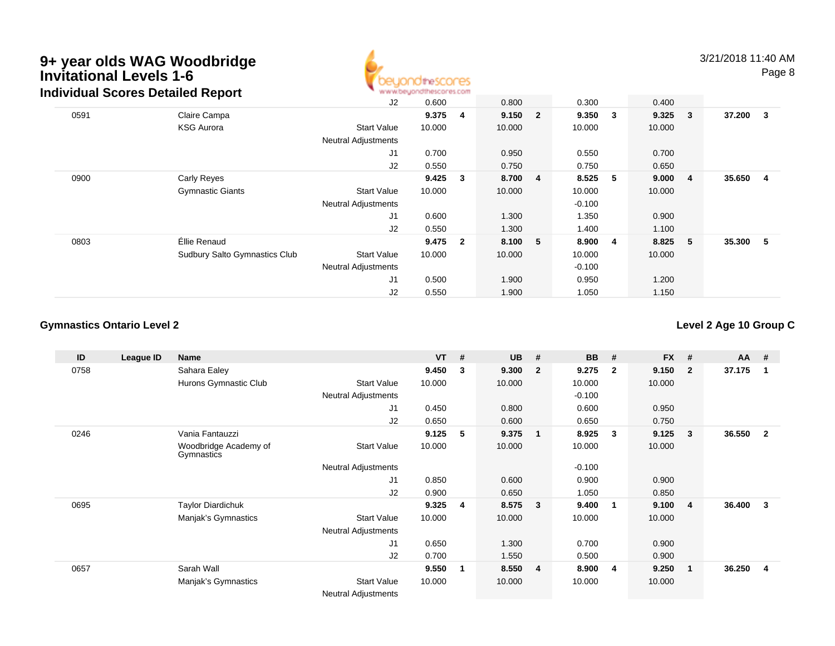

3/21/2018 11:40 AMPage 8

| Individual Scores Detailed Report |                               | www.beyondthescores.com    |        |                         |        |                |          |   |             |    |          |                |
|-----------------------------------|-------------------------------|----------------------------|--------|-------------------------|--------|----------------|----------|---|-------------|----|----------|----------------|
|                                   |                               | J2                         | 0.600  |                         | 0.800  |                | 0.300    |   | 0.400       |    |          |                |
| 0591                              | Claire Campa                  |                            | 9.375  | -4                      | 9.150  | $\overline{2}$ | 9.350    | 3 | $9.325 \t3$ |    | 37.200 3 |                |
|                                   | <b>KSG Aurora</b>             | <b>Start Value</b>         | 10.000 |                         | 10.000 |                | 10.000   |   | 10.000      |    |          |                |
|                                   |                               | <b>Neutral Adjustments</b> |        |                         |        |                |          |   |             |    |          |                |
|                                   |                               | J1                         | 0.700  |                         | 0.950  |                | 0.550    |   | 0.700       |    |          |                |
|                                   |                               | J2                         | 0.550  |                         | 0.750  |                | 0.750    |   | 0.650       |    |          |                |
| 0900                              | <b>Carly Reyes</b>            |                            | 9.425  | $\overline{\mathbf{3}}$ | 8.700  | $\overline{4}$ | 8.525    | 5 | 9.0004      |    | 35.650   | $\overline{4}$ |
|                                   | <b>Gymnastic Giants</b>       | <b>Start Value</b>         | 10.000 |                         | 10.000 |                | 10.000   |   | 10.000      |    |          |                |
|                                   |                               | <b>Neutral Adjustments</b> |        |                         |        |                | $-0.100$ |   |             |    |          |                |
|                                   |                               | J1                         | 0.600  |                         | 1.300  |                | 1.350    |   | 0.900       |    |          |                |
|                                   |                               | J2                         | 0.550  |                         | 1.300  |                | 1.400    |   | 1.100       |    |          |                |
| 0803                              | Éllie Renaud                  |                            | 9.475  | $\overline{\mathbf{2}}$ | 8.100  | 5              | 8.900    | 4 | 8.825       | -5 | 35.300 5 |                |
|                                   | Sudbury Salto Gymnastics Club | <b>Start Value</b>         | 10.000 |                         | 10.000 |                | 10.000   |   | 10.000      |    |          |                |
|                                   |                               | <b>Neutral Adjustments</b> |        |                         |        |                | $-0.100$ |   |             |    |          |                |
|                                   |                               | J1                         | 0.500  |                         | 1.900  |                | 0.950    |   | 1.200       |    |          |                |
|                                   |                               | J2                         | 0.550  |                         | 1.900  |                | 1.050    |   | 1.150       |    |          |                |

### **Gymnastics Ontario Level 2**

**Level 2 Age 10 Group C**

| ID   | League ID | Name                                |                            | <b>VT</b> | #              | <b>UB</b> | #                       | <b>BB</b> | #            | <b>FX</b> | #              | AA     | #              |
|------|-----------|-------------------------------------|----------------------------|-----------|----------------|-----------|-------------------------|-----------|--------------|-----------|----------------|--------|----------------|
| 0758 |           | Sahara Ealey                        |                            | 9.450     | 3              | 9.300     | $\overline{2}$          | 9.275     | $\mathbf{2}$ | 9.150     | $\overline{2}$ | 37.175 | - 1            |
|      |           | Hurons Gymnastic Club               | <b>Start Value</b>         | 10.000    |                | 10.000    |                         | 10.000    |              | 10.000    |                |        |                |
|      |           |                                     | <b>Neutral Adjustments</b> |           |                |           |                         | $-0.100$  |              |           |                |        |                |
|      |           |                                     | J <sub>1</sub>             | 0.450     |                | 0.800     |                         | 0.600     |              | 0.950     |                |        |                |
|      |           |                                     | J2                         | 0.650     |                | 0.600     |                         | 0.650     |              | 0.750     |                |        |                |
| 0246 |           | Vania Fantauzzi                     |                            | 9.125     | 5              | 9.375     | $\overline{\mathbf{1}}$ | 8.925     | 3            | 9.125     | 3              | 36.550 | $\overline{2}$ |
|      |           | Woodbridge Academy of<br>Gymnastics | <b>Start Value</b>         | 10.000    |                | 10.000    |                         | 10.000    |              | 10.000    |                |        |                |
|      |           |                                     | <b>Neutral Adjustments</b> |           |                |           |                         | $-0.100$  |              |           |                |        |                |
|      |           |                                     | J <sub>1</sub>             | 0.850     |                | 0.600     |                         | 0.900     |              | 0.900     |                |        |                |
|      |           |                                     | J2                         | 0.900     |                | 0.650     |                         | 1.050     |              | 0.850     |                |        |                |
| 0695 |           | <b>Taylor Diardichuk</b>            |                            | 9.325     | $\overline{4}$ | 8.575     | -3                      | 9.400     | -1           | 9.100     | 4              | 36.400 | 3              |
|      |           | Manjak's Gymnastics                 | <b>Start Value</b>         | 10.000    |                | 10.000    |                         | 10.000    |              | 10.000    |                |        |                |
|      |           |                                     | <b>Neutral Adjustments</b> |           |                |           |                         |           |              |           |                |        |                |
|      |           |                                     | J1                         | 0.650     |                | 1.300     |                         | 0.700     |              | 0.900     |                |        |                |
|      |           |                                     | J2                         | 0.700     |                | 1.550     |                         | 0.500     |              | 0.900     |                |        |                |
| 0657 |           | Sarah Wall                          |                            | 9.550     | $\blacksquare$ | 8.550     | $\overline{4}$          | 8.900     | 4            | 9.250     |                | 36.250 | $\overline{4}$ |
|      |           | Manjak's Gymnastics                 | <b>Start Value</b>         | 10.000    |                | 10.000    |                         | 10.000    |              | 10.000    |                |        |                |
|      |           |                                     | <b>Neutral Adjustments</b> |           |                |           |                         |           |              |           |                |        |                |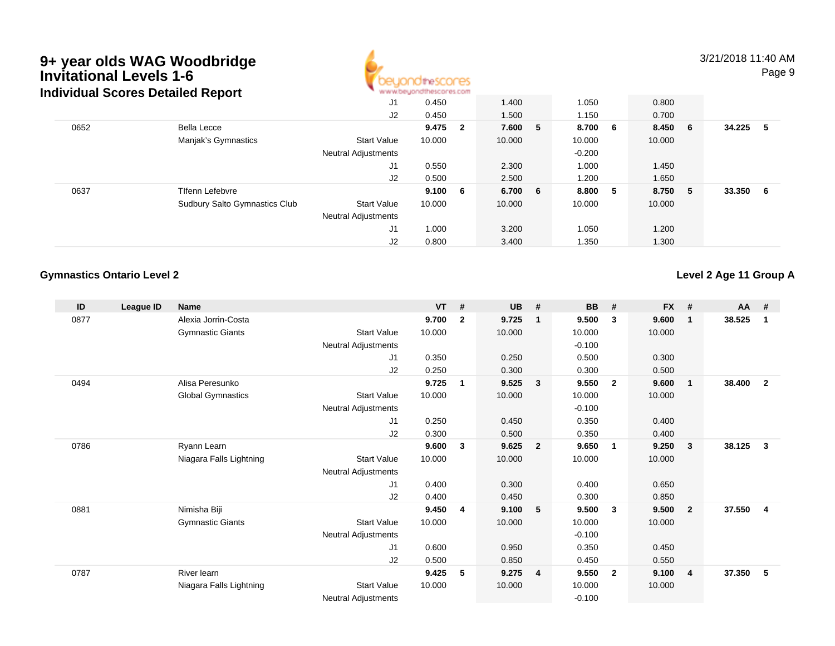### **9+ year olds WAG Woodbridge Invitational Levels 1-6**Detailed D **Individual Scores Detailed Report**



3/21/2018 11:40 AMPage 9

|      | iqiviqual Scores Detalled Report     | ALAI AFORANCE IOSI BARCOL ILE COLLI |        |     |         |          |   |         |  |        |     |
|------|--------------------------------------|-------------------------------------|--------|-----|---------|----------|---|---------|--|--------|-----|
|      |                                      | J1                                  | 0.450  |     | 1.400   | 1.050    |   | 0.800   |  |        |     |
|      |                                      | J2                                  | 0.450  |     | 1.500   | 1.150    |   | 0.700   |  |        |     |
| 0652 | Bella Lecce                          |                                     | 9.475  | - 2 | 7.600 5 | 8.700 6  |   | 8.450 6 |  | 34.225 | -5  |
|      | Manjak's Gymnastics                  | <b>Start Value</b>                  | 10.000 |     | 10.000  | 10.000   |   | 10.000  |  |        |     |
|      |                                      | <b>Neutral Adjustments</b>          |        |     |         | $-0.200$ |   |         |  |        |     |
|      |                                      | J1                                  | 0.550  |     | 2.300   | 1.000    |   | 1.450   |  |        |     |
|      |                                      | J2                                  | 0.500  |     | 2.500   | 1.200    |   | 1.650   |  |        |     |
| 0637 | <b>Tifenn Lefebvre</b>               |                                     | 9.100  | - 6 | 6.700 6 | 8.800    | 5 | 8.750 5 |  | 33.350 | - 6 |
|      | <b>Sudbury Salto Gymnastics Club</b> | <b>Start Value</b>                  | 10.000 |     | 10.000  | 10.000   |   | 10.000  |  |        |     |
|      |                                      | <b>Neutral Adjustments</b>          |        |     |         |          |   |         |  |        |     |
|      |                                      | J1                                  | 1.000  |     | 3.200   | 1.050    |   | 1.200   |  |        |     |
|      |                                      | J2                                  | 0.800  |     | 3.400   | 1.350    |   | 1.300   |  |        |     |

### **Gymnastics Ontario Level 2**

**Level 2 Age 11 Group A**

| ID   | League ID | <b>Name</b>              |                            | <b>VT</b> | #            | <b>UB</b> | #                       | <b>BB</b> | #              | <b>FX</b> | #              | <b>AA</b> | #              |
|------|-----------|--------------------------|----------------------------|-----------|--------------|-----------|-------------------------|-----------|----------------|-----------|----------------|-----------|----------------|
| 0877 |           | Alexia Jorrin-Costa      |                            | 9.700     | $\mathbf{2}$ | 9.725     | $\mathbf{1}$            | 9.500     | 3              | 9.600     | $\mathbf{1}$   | 38.525    | 1              |
|      |           | <b>Gymnastic Giants</b>  | <b>Start Value</b>         | 10.000    |              | 10.000    |                         | 10.000    |                | 10.000    |                |           |                |
|      |           |                          | <b>Neutral Adjustments</b> |           |              |           |                         | $-0.100$  |                |           |                |           |                |
|      |           |                          | J <sub>1</sub>             | 0.350     |              | 0.250     |                         | 0.500     |                | 0.300     |                |           |                |
|      |           |                          | J <sub>2</sub>             | 0.250     |              | 0.300     |                         | 0.300     |                | 0.500     |                |           |                |
| 0494 |           | Alisa Peresunko          |                            | 9.725     | $\mathbf 1$  | 9.525     | $\overline{\mathbf{3}}$ | 9.550     | $\overline{2}$ | 9.600     | $\mathbf{1}$   | 38.400    | $\overline{2}$ |
|      |           | <b>Global Gymnastics</b> | <b>Start Value</b>         | 10.000    |              | 10.000    |                         | 10.000    |                | 10.000    |                |           |                |
|      |           |                          | <b>Neutral Adjustments</b> |           |              |           |                         | $-0.100$  |                |           |                |           |                |
|      |           |                          | J <sub>1</sub>             | 0.250     |              | 0.450     |                         | 0.350     |                | 0.400     |                |           |                |
|      |           |                          | J2                         | 0.300     |              | 0.500     |                         | 0.350     |                | 0.400     |                |           |                |
| 0786 |           | Ryann Learn              |                            | 9.600     | 3            | 9.625     | $\overline{\mathbf{2}}$ | 9.650     | $\mathbf 1$    | 9.250     | 3              | 38.125    | $\mathbf{3}$   |
|      |           | Niagara Falls Lightning  | <b>Start Value</b>         | 10.000    |              | 10.000    |                         | 10.000    |                | 10.000    |                |           |                |
|      |           |                          | <b>Neutral Adjustments</b> |           |              |           |                         |           |                |           |                |           |                |
|      |           |                          | J1                         | 0.400     |              | 0.300     |                         | 0.400     |                | 0.650     |                |           |                |
|      |           |                          | J <sub>2</sub>             | 0.400     |              | 0.450     |                         | 0.300     |                | 0.850     |                |           |                |
| 0881 |           | Nimisha Biji             |                            | 9.450     | 4            | 9.100     | - 5                     | 9.500     | $\mathbf{3}$   | 9.500     | $\overline{2}$ | 37.550    | 4              |
|      |           | <b>Gymnastic Giants</b>  | <b>Start Value</b>         | 10.000    |              | 10.000    |                         | 10.000    |                | 10.000    |                |           |                |
|      |           |                          | <b>Neutral Adjustments</b> |           |              |           |                         | $-0.100$  |                |           |                |           |                |
|      |           |                          | J <sub>1</sub>             | 0.600     |              | 0.950     |                         | 0.350     |                | 0.450     |                |           |                |
|      |           |                          | J2                         | 0.500     |              | 0.850     |                         | 0.450     |                | 0.550     |                |           |                |
| 0787 |           | River learn              |                            | 9.425     | 5            | 9.275     | $\overline{4}$          | 9.550     | $\overline{2}$ | 9.100     | $\overline{4}$ | 37.350    | 5              |
|      |           | Niagara Falls Lightning  | <b>Start Value</b>         | 10.000    |              | 10.000    |                         | 10.000    |                | 10.000    |                |           |                |
|      |           |                          | <b>Neutral Adjustments</b> |           |              |           |                         | $-0.100$  |                |           |                |           |                |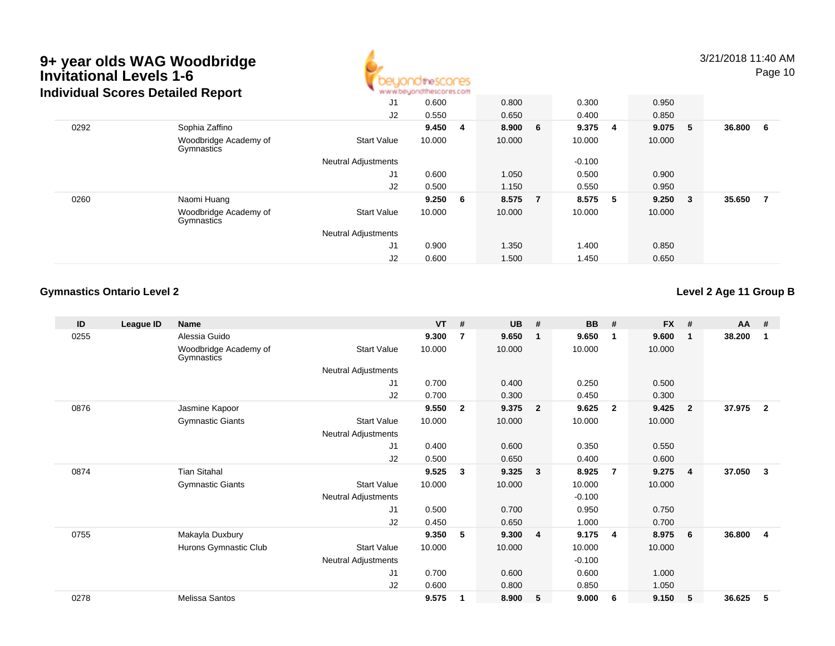### **9+ year olds WAG Woodbridge Invitational Levels 1-6**Detailed D. **Individual Scores Detailed Report**



3/21/2018 11:40 AMPage 10

|      | iqiviqual Scores Detalled Report    |                            | ALAI AFORANCE IOSI BARCOL ILE COLLI |     |         |                |          |     |        |     |        |    |
|------|-------------------------------------|----------------------------|-------------------------------------|-----|---------|----------------|----------|-----|--------|-----|--------|----|
|      |                                     | J1                         | 0.600                               |     | 0.800   |                | 0.300    |     | 0.950  |     |        |    |
|      |                                     | J2                         | 0.550                               |     | 0.650   |                | 0.400    |     | 0.850  |     |        |    |
| 0292 | Sophia Zaffino                      |                            | 9.450                               | -4  | 8.900 6 |                | 9.375 4  |     | 9.075  | - 5 | 36.800 | -6 |
|      | Woodbridge Academy of<br>Gymnastics | <b>Start Value</b>         | 10.000                              |     | 10.000  |                | 10.000   |     | 10.000 |     |        |    |
|      |                                     | <b>Neutral Adjustments</b> |                                     |     |         |                | $-0.100$ |     |        |     |        |    |
|      |                                     | J1                         | 0.600                               |     | 1.050   |                | 0.500    |     | 0.900  |     |        |    |
|      |                                     | J2                         | 0.500                               |     | 1.150   |                | 0.550    |     | 0.950  |     |        |    |
| 0260 | Naomi Huang                         |                            | 9.250                               | - 6 | 8.575   | $\overline{7}$ | 8.575    | - 5 | 9.250  | - 3 | 35.650 | 7  |
|      | Woodbridge Academy of<br>Gymnastics | <b>Start Value</b>         | 10.000                              |     | 10.000  |                | 10.000   |     | 10.000 |     |        |    |
|      |                                     | <b>Neutral Adjustments</b> |                                     |     |         |                |          |     |        |     |        |    |
|      |                                     | J1                         | 0.900                               |     | 1.350   |                | 1.400    |     | 0.850  |     |        |    |
|      |                                     | J2                         | 0.600                               |     | 1.500   |                | 1.450    |     | 0.650  |     |        |    |

### **Gymnastics Ontario Level 2**

**Level 2 Age 11 Group B**

| ID   | League ID | <b>Name</b>                         |                            | <b>VT</b> | #              | <b>UB</b> | #                       | <b>BB</b> | #              | <b>FX</b> | #              | $AA$ # |                |
|------|-----------|-------------------------------------|----------------------------|-----------|----------------|-----------|-------------------------|-----------|----------------|-----------|----------------|--------|----------------|
| 0255 |           | Alessia Guido                       |                            | 9.300     | 7              | 9.650     | $\mathbf{1}$            | 9.650     | $\mathbf 1$    | 9.600     | 1              | 38.200 |                |
|      |           | Woodbridge Academy of<br>Gymnastics | <b>Start Value</b>         | 10.000    |                | 10.000    |                         | 10.000    |                | 10.000    |                |        |                |
|      |           |                                     | Neutral Adjustments        |           |                |           |                         |           |                |           |                |        |                |
|      |           |                                     | J1                         | 0.700     |                | 0.400     |                         | 0.250     |                | 0.500     |                |        |                |
|      |           |                                     | J2                         | 0.700     |                | 0.300     |                         | 0.450     |                | 0.300     |                |        |                |
| 0876 |           | Jasmine Kapoor                      |                            | 9.550     | $\overline{2}$ | 9.375     | $\overline{\mathbf{2}}$ | 9.625     | $\overline{2}$ | 9.425     | $\overline{2}$ | 37.975 | $\overline{2}$ |
|      |           | <b>Gymnastic Giants</b>             | <b>Start Value</b>         | 10.000    |                | 10.000    |                         | 10.000    |                | 10.000    |                |        |                |
|      |           |                                     | <b>Neutral Adjustments</b> |           |                |           |                         |           |                |           |                |        |                |
|      |           |                                     | J <sub>1</sub>             | 0.400     |                | 0.600     |                         | 0.350     |                | 0.550     |                |        |                |
|      |           |                                     | J2                         | 0.500     |                | 0.650     |                         | 0.400     |                | 0.600     |                |        |                |
| 0874 |           | <b>Tian Sitahal</b>                 |                            | 9.525     | 3              | 9.325     | $\mathbf{3}$            | 8.925     | 7              | 9.275     | 4              | 37.050 | 3              |
|      |           | <b>Gymnastic Giants</b>             | <b>Start Value</b>         | 10.000    |                | 10.000    |                         | 10.000    |                | 10.000    |                |        |                |
|      |           |                                     | <b>Neutral Adjustments</b> |           |                |           |                         | $-0.100$  |                |           |                |        |                |
|      |           |                                     | J1                         | 0.500     |                | 0.700     |                         | 0.950     |                | 0.750     |                |        |                |
|      |           |                                     | J2                         | 0.450     |                | 0.650     |                         | 1.000     |                | 0.700     |                |        |                |
| 0755 |           | Makayla Duxbury                     |                            | 9.350     | 5              | 9.300     | $\overline{\mathbf{4}}$ | 9.175     | $\overline{4}$ | 8.975     | 6              | 36.800 | 4              |
|      |           | Hurons Gymnastic Club               | <b>Start Value</b>         | 10.000    |                | 10.000    |                         | 10.000    |                | 10.000    |                |        |                |
|      |           |                                     | <b>Neutral Adjustments</b> |           |                |           |                         | $-0.100$  |                |           |                |        |                |
|      |           |                                     | J1                         | 0.700     |                | 0.600     |                         | 0.600     |                | 1.000     |                |        |                |
|      |           |                                     | J <sub>2</sub>             | 0.600     |                | 0.800     |                         | 0.850     |                | 1.050     |                |        |                |
| 0278 |           | Melissa Santos                      |                            | 9.575     |                | 8.900     | 5                       | 9.000     | 6              | 9.150     | 5              | 36.625 | 5              |